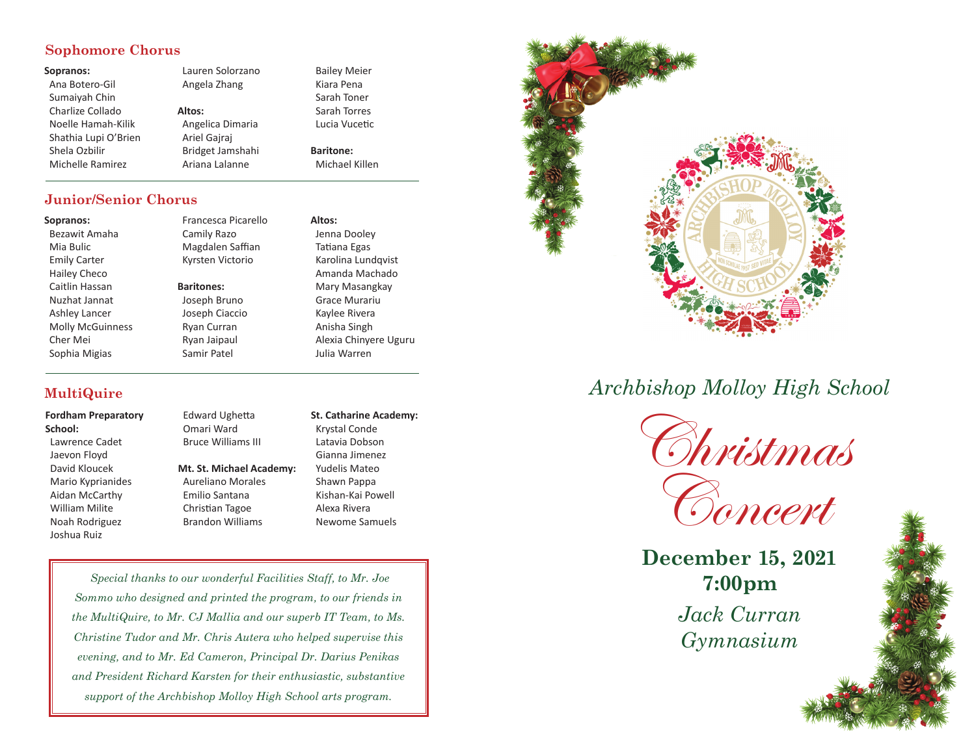# **Sophomore Chorus**

### **Sopranos:**

 Ana Botero-Gil Sumaiyah Chin Charlize Collado Noelle Hamah-Kilik Shathia Lupi O'Brien Shela Ozbilir Michelle Ramirez

 Angela Zhang **Altos:** Angelica Dimaria Ariel Gajraj Bridget Jamshahi Ariana Lalanne

Lauren Solorzano

 Francesca Picarello Camily Razo Magdalen Saffian Kyrsten Victorio

**Baritones:** Joseph Bruno Joseph Ciaccio Ryan Curran Ryan Jaipaul Samir Patel

# **Junior/Senior Chorus**

#### **Sopranos:**

 Bezawit Amaha Mia Bulic Emily Carter Hailey Checo Caitlin Hassan Nuzhat Jannat Ashley Lancer Molly McGuinness Cher Mei Sophia Migias

**MultiQuire**

## **Fordham Preparatory School:**

- Lawrence Cadet Jaevon Floyd David Kloucek Mario Kyprianides Aidan McCarthy William Milite Noah Rodriguez Joshua Ruiz
- Edward Ughetta Omari Ward Bruce Williams III

### **Mt. St. Michael Academy:** Aureliano Morales

 Emilio Santana Christian Tagoe Brandon Williams **St. Catharine Academy:** Krystal Conde Latavia Dobson Gianna Jimenez Yudelis Mateo Shawn Pappa Kishan-Kai Powell Alexa Rivera Newome Samuels

 Bailey Meier Kiara Pena Sarah Toner Sarah Torres Lucia Vucetic

**Baritone:** Michael Killen

**Altos:**

 Jenna Dooley Tatiana Egas Karolina Lundqvist Amanda Machado Mary Masangkay Grace Murariu Kaylee Rivera Anisha Singh Alexia Chinyere Uguru

Julia Warren

 *Special thanks to our wonderful Facilities Staff, to Mr. Joe Sommo who designed and printed the program, to our friends in the MultiQuire, to Mr. CJ Mallia and our superb IT Team, to Ms. Christine Tudor and Mr. Chris Autera who helped supervise this evening, and to Mr. Ed Cameron, Principal Dr. Darius Penikas and President Richard Karsten for their enthusiastic, substantive support of the Archbishop Molloy High School arts program.*



# *Archbishop Molloy High School*



**December 15, 2021 7:00pm** *Jack Curran Gymnasium*